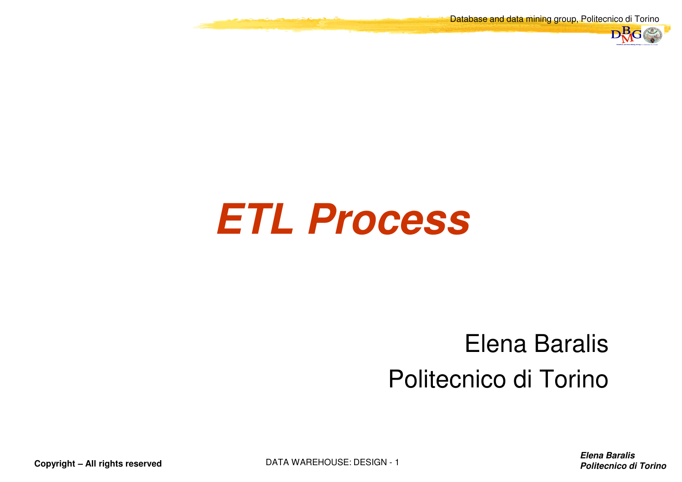Database and data mining group, Politecnico di Torino



# **ETL Process**

#### Elena BaralisPolitecnico di Torino

**Elena BaralisPolitecnico di Torino**

**Copyright – All rights reserved**

DATA WAREHOUSE: DESIGN - <sup>1</sup>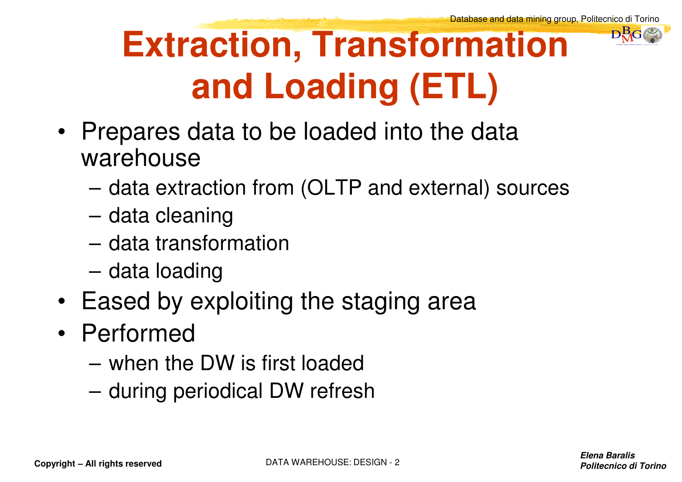# **Extraction, Transformation and Loading (ETL)**

DataBase and Data Mining Group of Politecnico di Torino $\mathbf{D}^{\mathbf{B}}_{\mathbf{M}}$ G

- Prepares data to be loaded into the data warehouse
	- data extraction from (OLTP and external) sources
	- data cleaning
	- data transformation
	- data loading
- Eased by exploiting the staging area
- Performed
	- when the DW is first loaded
	- during periodical DW refresh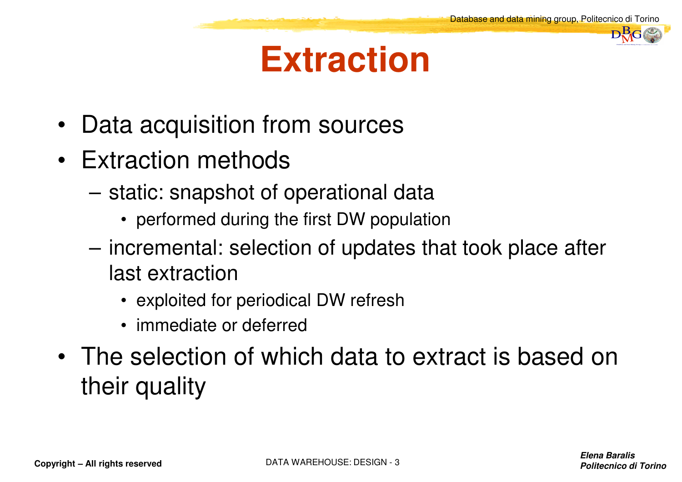#### **Extraction**

- Data acquisition from sources
- Extraction methods
	- static: snapshot of operational data
		- performed during the first DW population
	- incremental: selection of updates that took place after last extraction
		- exploited for periodical DW refresh
		- immediate or deferred
- The selection of which data to extract is based on their quality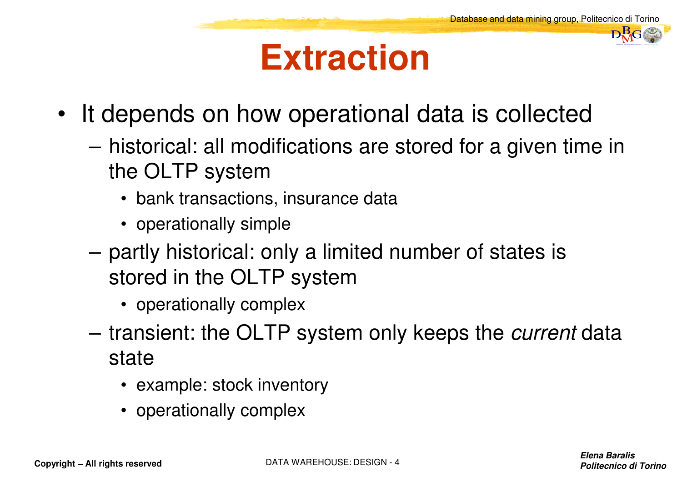#### **Extraction**

- It depends on how operational data is collected
	- historical: all modifications are stored for a given time in the OLTP system
		- bank transactions, insurance data
		- operationally simple
	- partly historical: only a limited number of states is stored in the OLTP system
		- operationally complex
	- transient: the OLTP system only keeps the *current* data state
		- example: stock inventory
		- operationally complex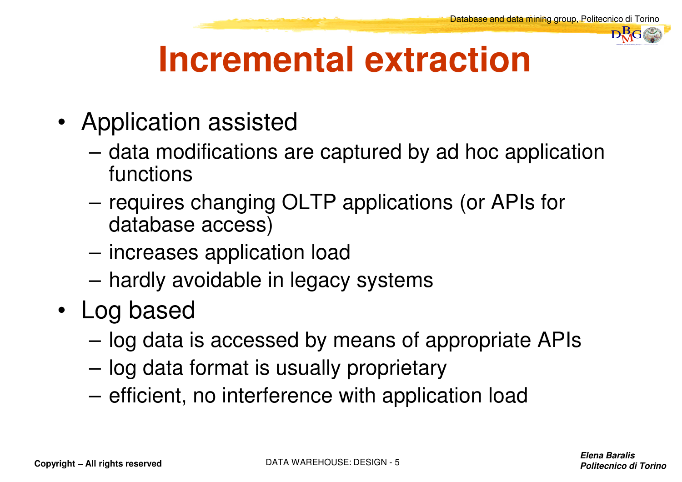

### **Incremental extraction**

- Application assisted
	- data modifications are captured by ad hoc application functions
	- requires changing OLTP applications (or APIs for database access)
	- increases application load
	- hardly avoidable in legacy systems
- Log based
	- log data is accessed by means of appropriate APIs
	- log data format is usually proprietary
	- efficient, no interference with application load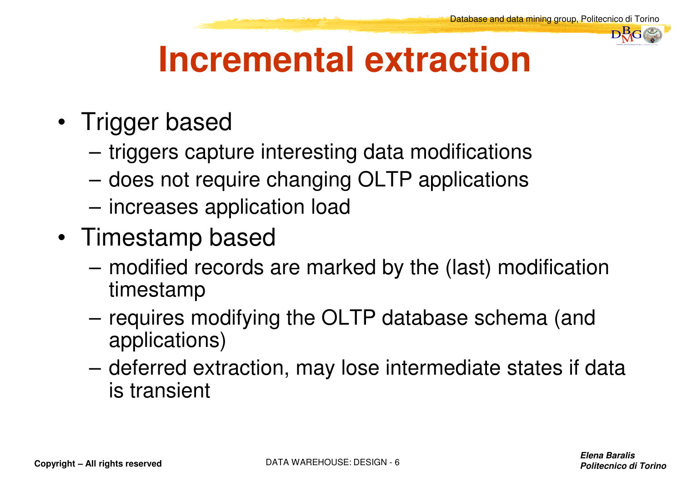

## **Incremental extraction**

- Trigger based
	- triggers capture interesting data modifications
	- does not require changing OLTP applications
	- increases application load
- Timestamp based
	- modified records are marked by the (last) modification timestamp
	- requires modifying the OLTP database schema (and applications)
	- deferred extraction, may lose intermediate states if data is transient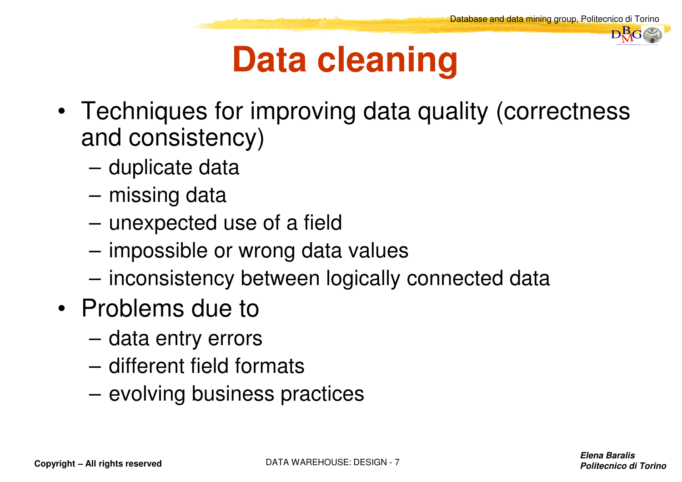## **Data cleaning**

- Techniques for improving data quality (correctness and consistency)
	- duplicate data
	- missing data
	- unexpected use of a field
	- impossible or wrong data values
	- inconsistency between logically connected data
- Problems due to
	- data entry errors
	- different field formats
	- evolving business practices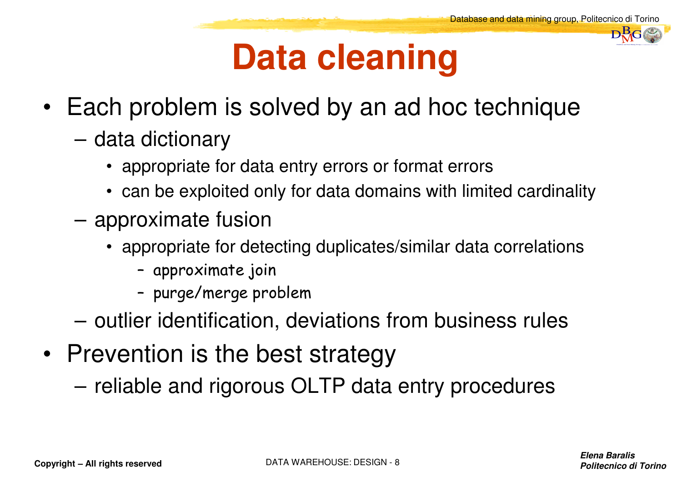#### **Data cleaning**

- Each problem is solved by an ad hoc technique
	- data dictionary
		- appropriate for data entry errors or format errors
		- can be exploited only for data domains with limited cardinality
	- approximate fusion
		- appropriate for detecting duplicates/similar data correlations
			- approximate join
			- –purge/merge problem
	- outlier identification, deviations from business rules
- Prevention is the best strategy
	- reliable and rigorous OLTP data entry procedures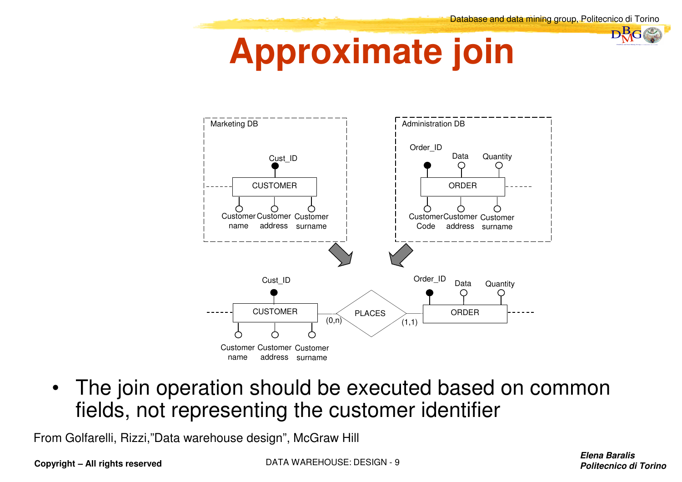#### **Approximate join**



 $\bullet$  The join operation should be executed based on common fields, not representing the customer identifier

From Golfarelli, Rizzi,"Data warehouse design", McGraw Hill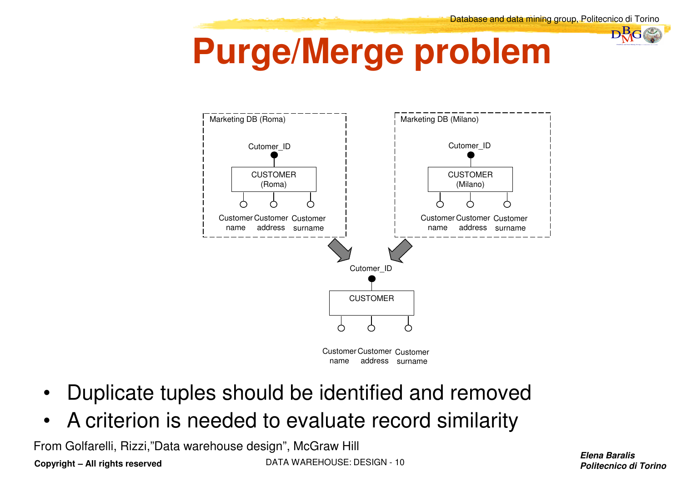

# **Purge/Merge problem**



- •Duplicate tuples should be identified and removed
- $\bullet$ A criterion is needed to evaluate record similarity

**Copyright – All rights reserved** DATA WAREHOUSE: DESIGN - <sup>10</sup> From Golfarelli, Rizzi,"Data warehouse design", McGraw Hill

**Elena BaralisPolitecnico di Torino**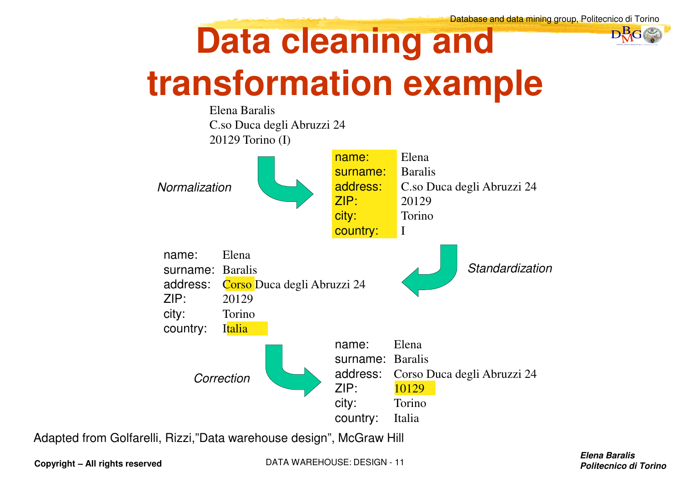# **Data cleaning andtransformation example**



Adapted from Golfarelli, Rizzi,"Data warehouse design", McGraw Hill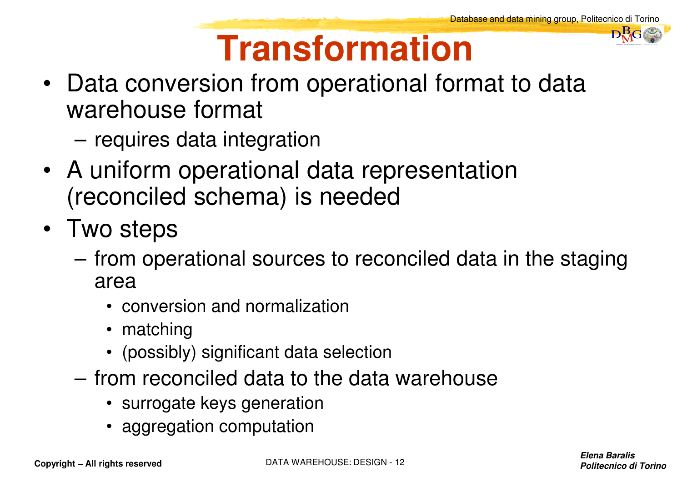# **Transformation**

- Data conversion from operational format to data warehouse format
	- requires data integration
- A uniform operational data representation (reconciled schema) is needed
- Two steps
	- from operational sources to reconciled data in the staging area
		- conversion and normalization
		- matching
		- (possibly) significant data selection
	- from reconciled data to the data warehouse
		- surrogate keys generation
		- aggregation computation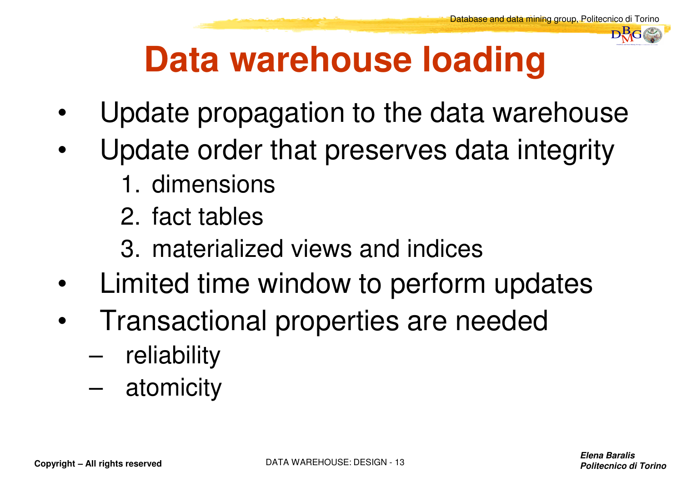

# **Data warehouse loading**

- •Update propagation to the data warehouse
- Update order that preserves data integrity•
	- 1. dimensions
	- 2. fact tables
	- 3. materialized views and indices
- •Limited time window to perform updates
- $\bullet$  Transactional properties are needed
	- –reliability
	- –atomicity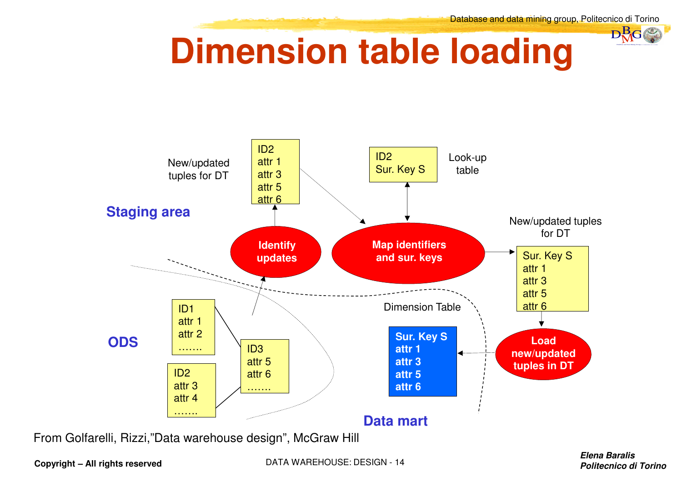#### DataBase and Data Mining Group of Politecnico di Torino $D_{\rm{G}}^{\rm{B}}$ G

### **Dimension table loading**



From Golfarelli, Rizzi,"Data warehouse design", McGraw Hill

**Copyright – All rights reserved**